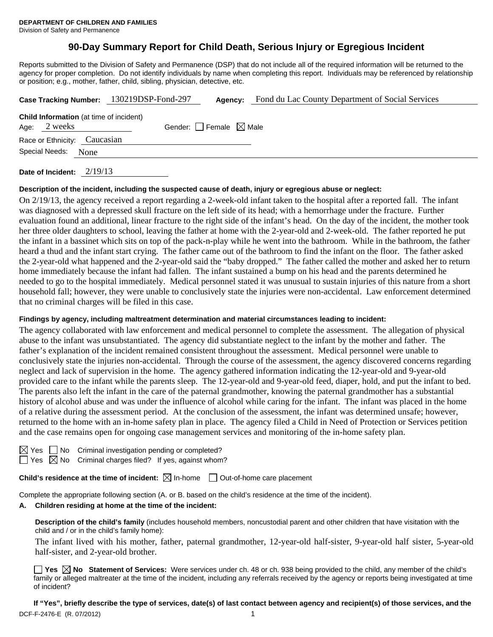# **90-Day Summary Report for Child Death, Serious Injury or Egregious Incident**

Reports submitted to the Division of Safety and Permanence (DSP) that do not include all of the required information will be returned to the agency for proper completion. Do not identify individuals by name when completing this report. Individuals may be referenced by relationship or position; e.g., mother, father, child, sibling, physician, detective, etc.

|                              |      | Case Tracking Number: 130219DSP-Fond-297       | Agency:                         | Fond du Lac County Department of Social Services |
|------------------------------|------|------------------------------------------------|---------------------------------|--------------------------------------------------|
| Age: 2 weeks                 |      | <b>Child Information</b> (at time of incident) | Gender: Female $\boxtimes$ Male |                                                  |
| Race or Ethnicity: Caucasian |      |                                                |                                 |                                                  |
| Special Needs:               | None |                                                |                                 |                                                  |
|                              |      |                                                |                                 |                                                  |

**Date of Incident:** 2/19/13

#### **Description of the incident, including the suspected cause of death, injury or egregious abuse or neglect:**

On 2/19/13, the agency received a report regarding a 2-week-old infant taken to the hospital after a reported fall. The infant was diagnosed with a depressed skull fracture on the left side of its head; with a hemorrhage under the fracture. Further evaluation found an additional, linear fracture to the right side of the infant's head. On the day of the incident, the mother took her three older daughters to school, leaving the father at home with the 2-year-old and 2-week-old. The father reported he put the infant in a bassinet which sits on top of the pack-n-play while he went into the bathroom. While in the bathroom, the father heard a thud and the infant start crying. The father came out of the bathroom to find the infant on the floor. The father asked the 2-year-old what happened and the 2-year-old said the "baby dropped." The father called the mother and asked her to return home immediately because the infant had fallen. The infant sustained a bump on his head and the parents determined he needed to go to the hospital immediately. Medical personnel stated it was unusual to sustain injuries of this nature from a short household fall; however, they were unable to conclusively state the injuries were non-accidental. Law enforcement determined that no criminal charges will be filed in this case.

#### **Findings by agency, including maltreatment determination and material circumstances leading to incident:**

The agency collaborated with law enforcement and medical personnel to complete the assessment. The allegation of physical abuse to the infant was unsubstantiated. The agency did substantiate neglect to the infant by the mother and father. The father's explanation of the incident remained consistent throughout the assessment. Medical personnel were unable to conclusively state the injuries non-accidental. Through the course of the assessment, the agency discovered concerns regarding neglect and lack of supervision in the home. The agency gathered information indicating the 12-year-old and 9-year-old provided care to the infant while the parents sleep. The 12-year-old and 9-year-old feed, diaper, hold, and put the infant to bed. The parents also left the infant in the care of the paternal grandmother, knowing the paternal grandmother has a substantial history of alcohol abuse and was under the influence of alcohol while caring for the infant. The infant was placed in the home of a relative during the assessment period. At the conclusion of the assessment, the infant was determined unsafe; however, returned to the home with an in-home safety plan in place. The agency filed a Child in Need of Protection or Services petition and the case remains open for ongoing case management services and monitoring of the in-home safety plan.

 $\Box$  No Criminal investigation pending or completed?

Yes  $\boxtimes$  No Criminal charges filed? If yes, against whom?

**Child's residence at the time of incident:**  $\boxtimes$  In-home  $\Box$  Out-of-home care placement

Complete the appropriate following section (A. or B. based on the child's residence at the time of the incident).

## **A. Children residing at home at the time of the incident:**

**Description of the child's family** (includes household members, noncustodial parent and other children that have visitation with the child and / or in the child's family home):

 The infant lived with his mother, father, paternal grandmother, 12-year-old half-sister, 9-year-old half sister, 5-year-old half-sister, and 2-year-old brother.

■ Yes **No** Statement of Services: Were services under ch. 48 or ch. 938 being provided to the child, any member of the child's family or alleged maltreater at the time of the incident, including any referrals received by the agency or reports being investigated at time of incident?

DCF-F-2476-E (R. 07/2012) 1 **If "Yes", briefly describe the type of services, date(s) of last contact between agency and recipient(s) of those services, and the**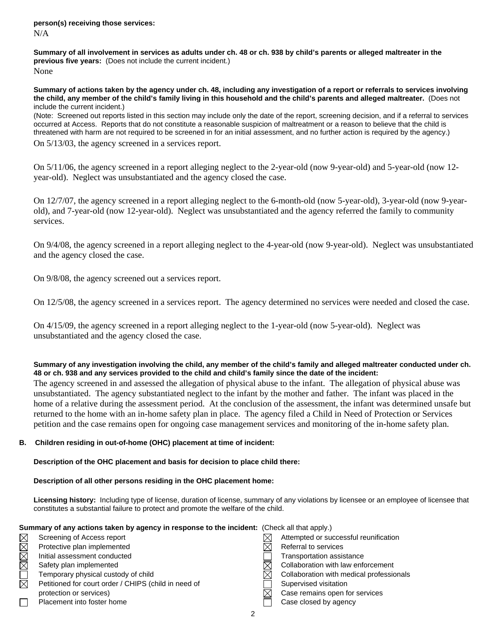**Summary of all involvement in services as adults under ch. 48 or ch. 938 by child's parents or alleged maltreater in the previous five years:** (Does not include the current incident.) None

**Summary of actions taken by the agency under ch. 48, including any investigation of a report or referrals to services involving the child, any member of the child's family living in this household and the child's parents and alleged maltreater.** (Does not include the current incident.)

(Note: Screened out reports listed in this section may include only the date of the report, screening decision, and if a referral to services occurred at Access. Reports that do not constitute a reasonable suspicion of maltreatment or a reason to believe that the child is threatened with harm are not required to be screened in for an initial assessment, and no further action is required by the agency.)

On 5/13/03, the agency screened in a services report.

On 5/11/06, the agency screened in a report alleging neglect to the 2-year-old (now 9-year-old) and 5-year-old (now 12 year-old). Neglect was unsubstantiated and the agency closed the case.

On 12/7/07, the agency screened in a report alleging neglect to the 6-month-old (now 5-year-old), 3-year-old (now 9-yearold), and 7-year-old (now 12-year-old). Neglect was unsubstantiated and the agency referred the family to community services.

On 9/4/08, the agency screened in a report alleging neglect to the 4-year-old (now 9-year-old). Neglect was unsubstantiated and the agency closed the case.

On 9/8/08, the agency screened out a services report.

On 12/5/08, the agency screened in a services report. The agency determined no services were needed and closed the case.

On 4/15/09, the agency screened in a report alleging neglect to the 1-year-old (now 5-year-old). Neglect was unsubstantiated and the agency closed the case.

#### **Summary of any investigation involving the child, any member of the child's family and alleged maltreater conducted under ch. 48 or ch. 938 and any services provided to the child and child's family since the date of the incident:**

The agency screened in and assessed the allegation of physical abuse to the infant. The allegation of physical abuse was unsubstantiated. The agency substantiated neglect to the infant by the mother and father. The infant was placed in the home of a relative during the assessment period. At the conclusion of the assessment, the infant was determined unsafe but returned to the home with an in-home safety plan in place. The agency filed a Child in Need of Protection or Services petition and the case remains open for ongoing case management services and monitoring of the in-home safety plan.

## **B. Children residing in out-of-home (OHC) placement at time of incident:**

## **Description of the OHC placement and basis for decision to place child there:**

## **Description of all other persons residing in the OHC placement home:**

**Licensing history:** Including type of license, duration of license, summary of any violations by licensee or an employee of licensee that constitutes a substantial failure to protect and promote the welfare of the child.

#### **Summary of any actions taken by agency in response to the incident:** (Check all that apply.)

- Protective plan implemented  $\boxtimes$  Referral to services Petitioned for court order / CHIPS (child in need of Supervised visitation
- 
- Screening of Access report  $\boxtimes$  Attempted or successful reunification<br>Protective plan implemented  $\boxtimes$  Referral to services<br>Initial assessment conducted Transportation assistance Initial assessment conducted **Transportation assistance** Transportation assistance Safety plan implemented  $\boxtimes$  Collaboration with law enforcement Temporary physical custody of child  $\boxtimes$  Collaboration with medical professionals protection or services)  $\boxtimes$  Case remains open for services Placement into foster home Case closed by agency